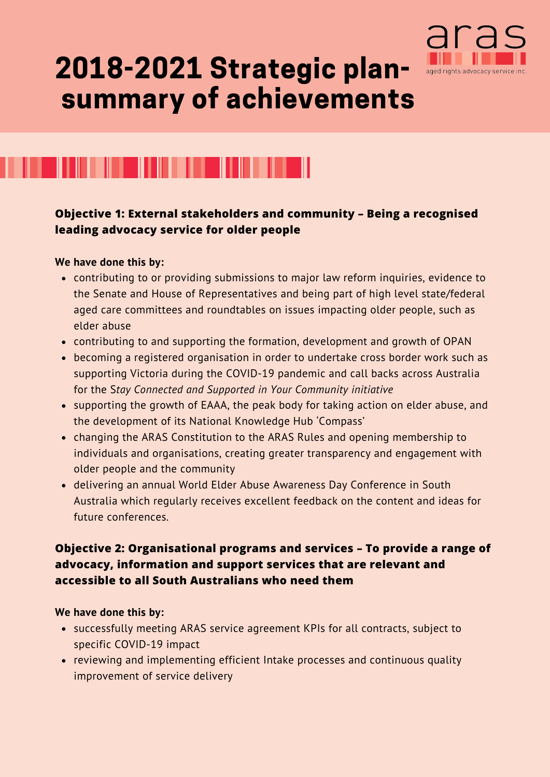

# 2018-2021 Strategic plansummary of achievements



### **Objective 1: External stakeholders and community – Being a recognised leading advocacy service for older people**

### **We have done this by:**

- contributing to or providing submissions to major law reform inquiries, evidence to the Senate and House of Representatives and being part of high level state/federal aged care committees and roundtables on issues impacting older people, such as elder abuse
- contributing to and supporting the formation, development and growth of OPAN
- becoming a registered organisation in order to undertake cross border work such as supporting Victoria during the COVID-19 pandemic and call backs across Australia for the S*tay Connected and Supported in Your Community initiative*
- supporting the growth of EAAA, the peak body for taking action on elder abuse, and the development of its National Knowledge Hub 'Compass'
- changing the ARAS Constitution to the ARAS Rules and opening membership to individuals and organisations, creating greater transparency and engagement with older people and the community
- delivering an annual World Elder Abuse Awareness Day Conference in South Australia which regularly receives excellent feedback on the content and ideas for future conferences.

# **Objective 2: Organisational programs and services – To provide a range of advocacy, information and support services that are relevant and accessible to all South Australians who need them**

#### **We have done this by:**

- successfully meeting ARAS service agreement KPIs for all contracts, subject to specific COVID-19 impact
- reviewing and implementing efficient Intake processes and continuous quality improvement of service delivery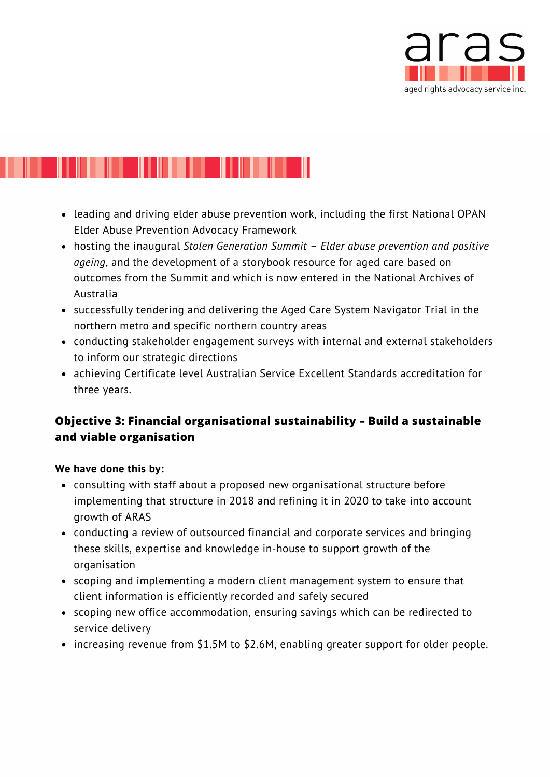

# 

- leading and driving elder abuse prevention work, including the first National OPAN Elder Abuse Prevention Advocacy Framework
- hosting the inaugural *Stolen Generation Summit – Elder abuse prevention and positive ageing*, and the development of a storybook resource for aged care based on outcomes from the Summit and which is now entered in the National Archives of Australia
- successfully tendering and delivering the Aged Care System Navigator Trial in the northern metro and specific northern country areas
- conducting stakeholder engagement surveys with internal and external stakeholders to inform our strategic directions
- achieving Certificate level Australian Service Excellent Standards accreditation for three years.

# **Objective 3: Financial organisational sustainability – Build a sustainable and viable organisation**

### **We have done this by:**

- consulting with staff about a proposed new organisational structure before implementing that structure in 2018 and refining it in 2020 to take into account growth of ARAS
- conducting a review of outsourced financial and corporate services and bringing these skills, expertise and knowledge in-house to support growth of the organisation
- scoping and implementing a modern client management system to ensure that client information is efficiently recorded and safely secured
- scoping new office accommodation, ensuring savings which can be redirected to service delivery
- increasing revenue from \$1.5M to \$2.6M, enabling greater support for older people.